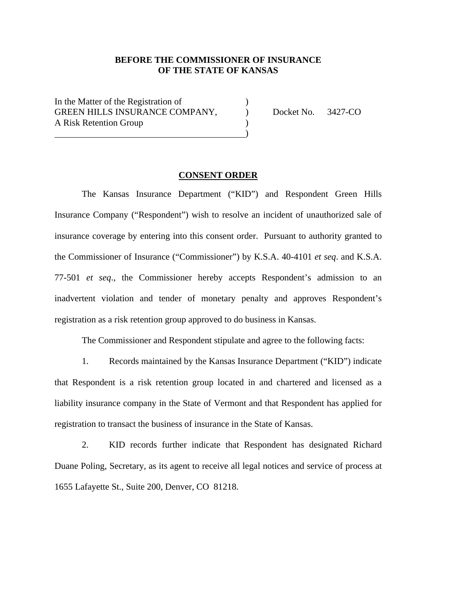# **BEFORE THE COMMISSIONER OF INSURANCE OF THE STATE OF KANSAS**

In the Matter of the Registration of ) GREEN HILLS INSURANCE COMPANY, Docket No. 3427-CO A Risk Retention Group (1)  $\hspace{1.5cm}$  ) and the contract of the contract of the contract of the contract of the contract of the contract of the contract of the contract of the contract of the contract of the contract of the contract of the contrac

### **CONSENT ORDER**

 The Kansas Insurance Department ("KID") and Respondent Green Hills Insurance Company ("Respondent") wish to resolve an incident of unauthorized sale of insurance coverage by entering into this consent order. Pursuant to authority granted to the Commissioner of Insurance ("Commissioner") by K.S.A. 40-4101 *et seq*. and K.S.A. 77-501 *et seq*., the Commissioner hereby accepts Respondent's admission to an inadvertent violation and tender of monetary penalty and approves Respondent's registration as a risk retention group approved to do business in Kansas.

The Commissioner and Respondent stipulate and agree to the following facts:

1. Records maintained by the Kansas Insurance Department ("KID") indicate that Respondent is a risk retention group located in and chartered and licensed as a liability insurance company in the State of Vermont and that Respondent has applied for registration to transact the business of insurance in the State of Kansas.

2. KID records further indicate that Respondent has designated Richard Duane Poling, Secretary, as its agent to receive all legal notices and service of process at 1655 Lafayette St., Suite 200, Denver, CO 81218.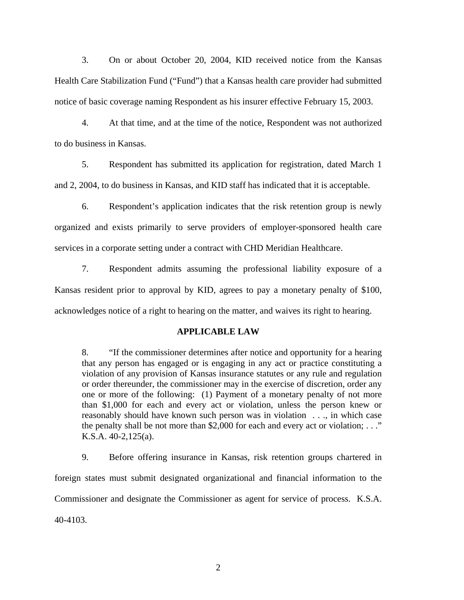3. On or about October 20, 2004, KID received notice from the Kansas Health Care Stabilization Fund ("Fund") that a Kansas health care provider had submitted notice of basic coverage naming Respondent as his insurer effective February 15, 2003.

4. At that time, and at the time of the notice, Respondent was not authorized to do business in Kansas.

5. Respondent has submitted its application for registration, dated March 1 and 2, 2004, to do business in Kansas, and KID staff has indicated that it is acceptable.

6. Respondent's application indicates that the risk retention group is newly organized and exists primarily to serve providers of employer-sponsored health care services in a corporate setting under a contract with CHD Meridian Healthcare.

7. Respondent admits assuming the professional liability exposure of a Kansas resident prior to approval by KID, agrees to pay a monetary penalty of \$100, acknowledges notice of a right to hearing on the matter, and waives its right to hearing.

### **APPLICABLE LAW**

8. "If the commissioner determines after notice and opportunity for a hearing that any person has engaged or is engaging in any act or practice constituting a violation of any provision of Kansas insurance statutes or any rule and regulation or order thereunder, the commissioner may in the exercise of discretion, order any one or more of the following: (1) Payment of a monetary penalty of not more than \$1,000 for each and every act or violation, unless the person knew or reasonably should have known such person was in violation . . ., in which case the penalty shall be not more than \$2,000 for each and every act or violation;  $\dots$ " K.S.A. 40-2,125(a).

9. Before offering insurance in Kansas, risk retention groups chartered in foreign states must submit designated organizational and financial information to the Commissioner and designate the Commissioner as agent for service of process. K.S.A. 40-4103.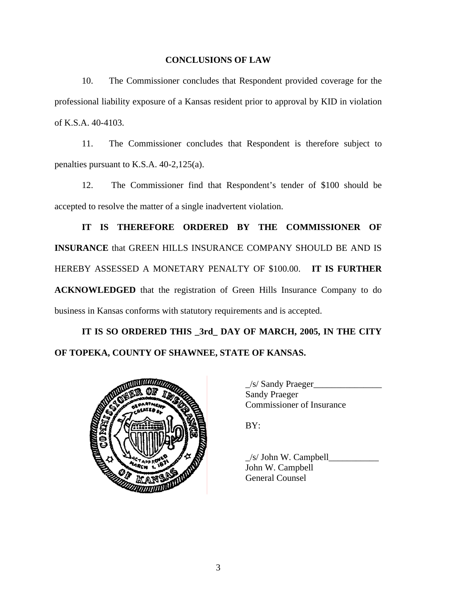## **CONCLUSIONS OF LAW**

10. The Commissioner concludes that Respondent provided coverage for the professional liability exposure of a Kansas resident prior to approval by KID in violation of K.S.A. 40-4103.

11. The Commissioner concludes that Respondent is therefore subject to penalties pursuant to K.S.A. 40-2,125(a).

12. The Commissioner find that Respondent's tender of \$100 should be accepted to resolve the matter of a single inadvertent violation.

**IT IS THEREFORE ORDERED BY THE COMMISSIONER OF INSURANCE** that GREEN HILLS INSURANCE COMPANY SHOULD BE AND IS HEREBY ASSESSED A MONETARY PENALTY OF \$100.00. **IT IS FURTHER ACKNOWLEDGED** that the registration of Green Hills Insurance Company to do business in Kansas conforms with statutory requirements and is accepted.

**IT IS SO ORDERED THIS \_3rd\_ DAY OF MARCH, 2005, IN THE CITY OF TOPEKA, COUNTY OF SHAWNEE, STATE OF KANSAS.** 



 $\angle$ s/ Sandy Praeger $\angle$ Sandy Praeger Commissioner of Insurance

 $\angle$ s/ John W. Campbell $\angle$ John W. Campbell General Counsel